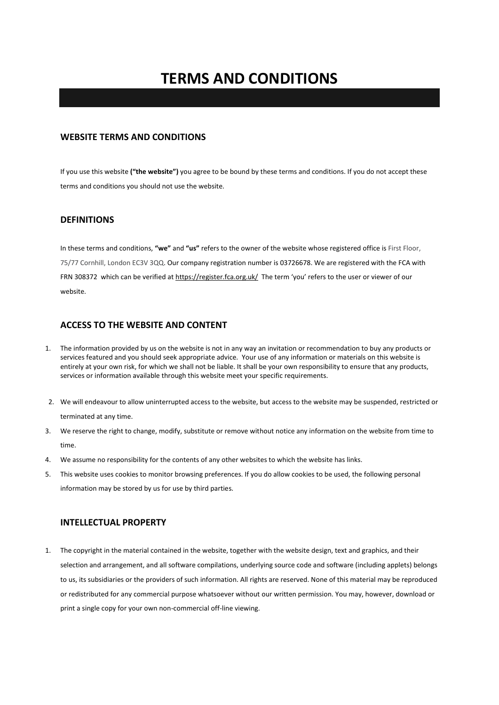# **TERMS AND CONDITIONS**

# **WEBSITE TERMS AND CONDITIONS**

If you use this website **("the website")** you agree to be bound by these terms and conditions. If you do not accept these terms and conditions you should not use the website.

# **DEFINITIONS**

In these terms and conditions, **"we"** and **"us"** refers to the owner of the website whose registered office is First Floor, 75/77 Cornhill, London EC3V 3QQ. Our company registration number is 03726678. We are registered with the FCA with FRN 308372 which can be verified at https://register.fca.org.uk/ The term 'you' refers to the user or viewer of our website.

# **ACCESS TO THE WEBSITE AND CONTENT**

- 1. The information provided by us on the website is not in any way an invitation or recommendation to buy any products or services featured and you should seek appropriate advice. Your use of any information or materials on this website is entirely at your own risk, for which we shall not be liable. It shall be your own responsibility to ensure that any products, services or information available through this website meet your specific requirements.
- 2. We will endeavour to allow uninterrupted access to the website, but access to the website may be suspended, restricted or terminated at any time.
- 3. We reserve the right to change, modify, substitute or remove without notice any information on the website from time to time.
- 4. We assume no responsibility for the contents of any other websites to which the website has links.
- 5. This website uses cookies to monitor browsing preferences. If you do allow cookies to be used, the following personal information may be stored by us for use by third parties.

# **INTELLECTUAL PROPERTY**

1. The copyright in the material contained in the website, together with the website design, text and graphics, and their selection and arrangement, and all software compilations, underlying source code and software (including applets) belongs to us, its subsidiaries or the providers of such information. All rights are reserved. None of this material may be reproduced or redistributed for any commercial purpose whatsoever without our written permission. You may, however, download or print a single copy for your own non-commercial off-line viewing.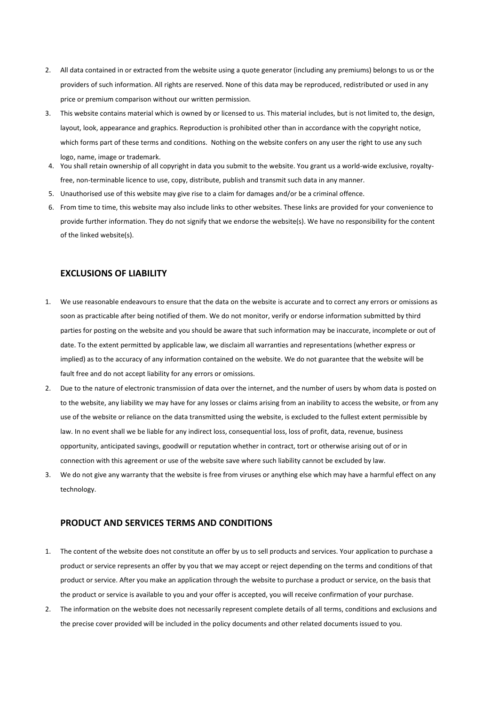- 2. All data contained in or extracted from the website using a quote generator (including any premiums) belongs to us or the providers of such information. All rights are reserved. None of this data may be reproduced, redistributed or used in any price or premium comparison without our written permission.
- 3. This website contains material which is owned by or licensed to us. This material includes, but is not limited to, the design, layout, look, appearance and graphics. Reproduction is prohibited other than in accordance with the copyright notice, which forms part of these terms and conditions. Nothing on the website confers on any user the right to use any such logo, name, image or trademark.
- 4. You shall retain ownership of all copyright in data you submit to the website. You grant us a world-wide exclusive, royaltyfree, non-terminable licence to use, copy, distribute, publish and transmit such data in any manner.
- 5. Unauthorised use of this website may give rise to a claim for damages and/or be a criminal offence.
- 6. From time to time, this website may also include links to other websites. These links are provided for your convenience to provide further information. They do not signify that we endorse the website(s). We have no responsibility for the content of the linked website(s).

#### **EXCLUSIONS OF LIABILITY**

- 1. We use reasonable endeavours to ensure that the data on the website is accurate and to correct any errors or omissions as soon as practicable after being notified of them. We do not monitor, verify or endorse information submitted by third parties for posting on the website and you should be aware that such information may be inaccurate, incomplete or out of date. To the extent permitted by applicable law, we disclaim all warranties and representations (whether express or implied) as to the accuracy of any information contained on the website. We do not guarantee that the website will be fault free and do not accept liability for any errors or omissions.
- 2. Due to the nature of electronic transmission of data over the internet, and the number of users by whom data is posted on to the website, any liability we may have for any losses or claims arising from an inability to access the website, or from any use of the website or reliance on the data transmitted using the website, is excluded to the fullest extent permissible by law. In no event shall we be liable for any indirect loss, consequential loss, loss of profit, data, revenue, business opportunity, anticipated savings, goodwill or reputation whether in contract, tort or otherwise arising out of or in connection with this agreement or use of the website save where such liability cannot be excluded by law.
- 3. We do not give any warranty that the website is free from viruses or anything else which may have a harmful effect on any technology.

#### **PRODUCT AND SERVICES TERMS AND CONDITIONS**

- 1. The content of the website does not constitute an offer by us to sell products and services. Your application to purchase a product or service represents an offer by you that we may accept or reject depending on the terms and conditions of that product or service. After you make an application through the website to purchase a product or service, on the basis that the product or service is available to you and your offer is accepted, you will receive confirmation of your purchase.
- 2. The information on the website does not necessarily represent complete details of all terms, conditions and exclusions and the precise cover provided will be included in the policy documents and other related documents issued to you.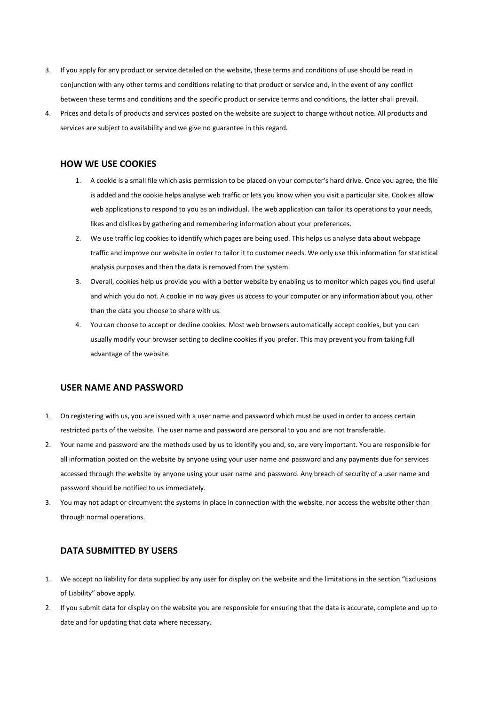- 3. If you apply for any product or service detailed on the website, these terms and conditions of use should be read in conjunction with any other terms and conditions relating to that product or service and, in the event of any conflict between these terms and conditions and the specific product or service terms and conditions, the latter shall prevail.
- 4. Prices and details of products and services posted on the website are subject to change without notice. All products and services are subject to availability and we give no guarantee in this regard.

# **HOW WE USE COOKIES**

- 1. A cookie is a small file which asks permission to be placed on your computer's hard drive. Once you agree, the file is added and the cookie helps analyse web traffic or lets you know when you visit a particular site. Cookies allow web applications to respond to you as an individual. The web application can tailor its operations to your needs, likes and dislikes by gathering and remembering information about your preferences.
- 2. We use traffic log cookies to identify which pages are being used. This helps us analyse data about webpage traffic and improve our website in order to tailor it to customer needs. We only use this information for statistical analysis purposes and then the data is removed from the system.
- 3. Overall, cookies help us provide you with a better website by enabling us to monitor which pages you find useful and which you do not. A cookie in no way gives us access to your computer or any information about you, other than the data you choose to share with us.
- 4. You can choose to accept or decline cookies. Most web browsers automatically accept cookies, but you can usually modify your browser setting to decline cookies if you prefer. This may prevent you from taking full advantage of the website.

#### **USER NAME AND PASSWORD**

- 1. On registering with us, you are issued with a user name and password which must be used in order to access certain restricted parts of the website. The user name and password are personal to you and are not transferable.
- 2. Your name and password are the methods used by us to identify you and, so, are very important. You are responsible for all information posted on the website by anyone using your user name and password and any payments due for services accessed through the website by anyone using your user name and password. Any breach of security of a user name and password should be notified to us immediately.
- 3. You may not adapt or circumvent the systems in place in connection with the website, nor access the website other than through normal operations.

#### **DATA SUBMITTED BY USERS**

- 1. We accept no liability for data supplied by any user for display on the website and the limitations in the section "Exclusions of Liability" above apply.
- 2. If you submit data for display on the website you are responsible for ensuring that the data is accurate, complete and up to date and for updating that data where necessary.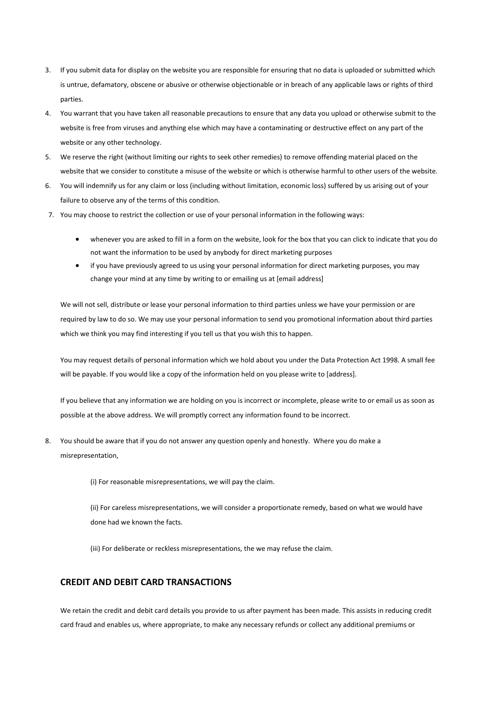- 3. If you submit data for display on the website you are responsible for ensuring that no data is uploaded or submitted which is untrue, defamatory, obscene or abusive or otherwise objectionable or in breach of any applicable laws or rights of third parties.
- 4. You warrant that you have taken all reasonable precautions to ensure that any data you upload or otherwise submit to the website is free from viruses and anything else which may have a contaminating or destructive effect on any part of the website or any other technology.
- 5. We reserve the right (without limiting our rights to seek other remedies) to remove offending material placed on the website that we consider to constitute a misuse of the website or which is otherwise harmful to other users of the website.
- 6. You will indemnify us for any claim or loss (including without limitation, economic loss) suffered by us arising out of your failure to observe any of the terms of this condition.
- 7. You may choose to restrict the collection or use of your personal information in the following ways:
	- whenever you are asked to fill in a form on the website, look for the box that you can click to indicate that you do not want the information to be used by anybody for direct marketing purposes
	- if you have previously agreed to us using your personal information for direct marketing purposes, you may change your mind at any time by writing to or emailing us at [email address]

We will not sell, distribute or lease your personal information to third parties unless we have your permission or are required by law to do so. We may use your personal information to send you promotional information about third parties which we think you may find interesting if you tell us that you wish this to happen.

You may request details of personal information which we hold about you under the Data Protection Act 1998. A small fee will be payable. If you would like a copy of the information held on you please write to [address].

If you believe that any information we are holding on you is incorrect or incomplete, please write to or email us as soon as possible at the above address. We will promptly correct any information found to be incorrect.

- 8. You should be aware that if you do not answer any question openly and honestly. Where you do make a misrepresentation,
	- (i) For reasonable misrepresentations, we will pay the claim.

(ii) For careless misrepresentations, we will consider a proportionate remedy, based on what we would have done had we known the facts.

(iii) For deliberate or reckless misrepresentations, the we may refuse the claim.

# **CREDIT AND DEBIT CARD TRANSACTIONS**

We retain the credit and debit card details you provide to us after payment has been made. This assists in reducing credit card fraud and enables us, where appropriate, to make any necessary refunds or collect any additional premiums or